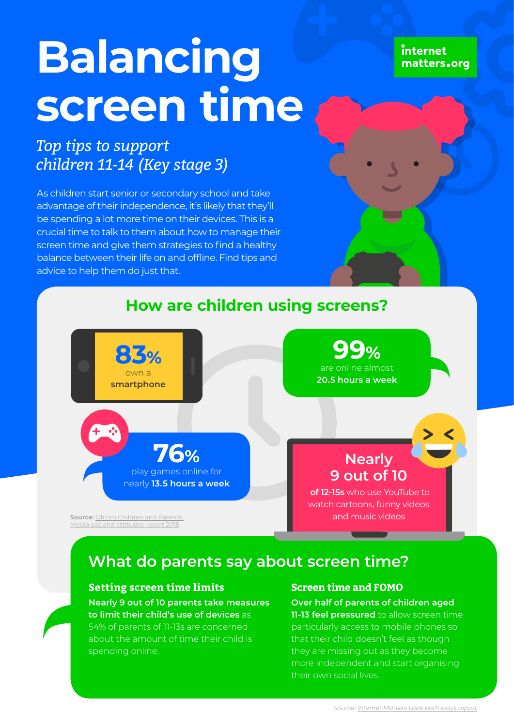internet matters.org

# **Balancing screen time**

## *Top tips to support children 11-14 (Key stage 3)*

As children start senior or secondary school and take advantage of their independence, it's likely that they'll be spending a lot more time on their devices. This is a crucial time to talk to them about how to manage their screen time and give them strategies to find a healthy balance between their life on and offline. Find tips and advice to help them do just that.

## **How are children using screens?**



## **What do parents say about screen time?**

## **Setting screen time limits**

**Nearly 9 out of 10 parents take measures to limit their child's use of devices** as 54% of parents of 11-13s are concerned

about the amount of time their child is spending online.

### **Screen time and FOMO**

**Over half of parents of children aged 11-13 feel pressured** to allow screen time particularly access to mobile phones so that their child doesn't feel as though they are missing out as they become more independent and start organising their own social lives.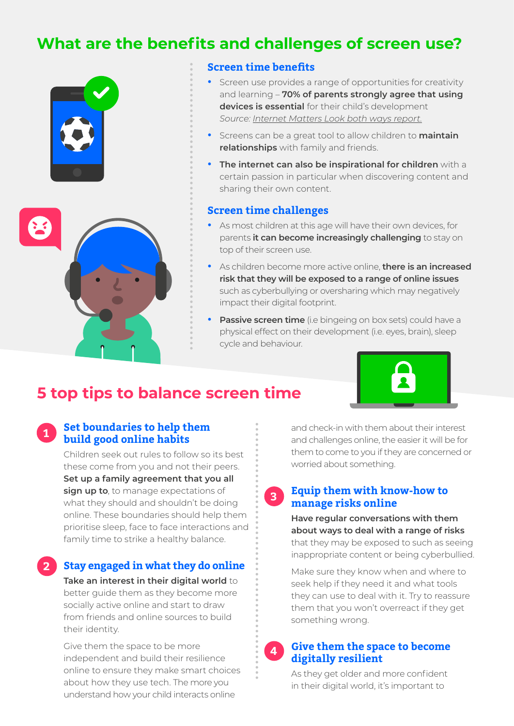## **What are the benefits and challenges of screen use?**



## **Screen time benefits**

- **•** Screen use provides a range of opportunities for creativity and learning – **70% of parents strongly agree that using devices is essential** for their child's development *Source: [Internet Matters Look both ways report](https://www.internetmatters.org/about-us/screen-time-report-2018).*
- **•** Screens can be a great tool to allow children to **maintain relationships** with family and friends.
- **• The internet can also be inspirational for children** with a certain passion in particular when discovering content and sharing their own content.

#### **Screen time challenges**

- **•** As most children at this age will have their own devices, for parents **it can become increasingly challenging** to stay on top of their screen use.
- **•** As children become more active online, **there is an increased risk that they will be exposed to a range of online issues** such as cyberbullying or oversharing which may negatively impact their digital footprint.
- **Passive screen time** (i.e bingeing on box sets) could have a physical effect on their development (i.e. eyes, brain), sleep cycle and behaviour.

## **5 top tips to balance screen time**

## **Set boundaries to help them build good online habits**

**1**

**2**

Children seek out rules to follow so its best these come from you and not their peers. **Set up a family agreement that you all sign up to**, to manage expectations of what they should and shouldn't be doing online. These boundaries should help them prioritise sleep, face to face interactions and family time to strike a healthy balance.

**Stay engaged in what they do online Take an interest in their digital world** to better guide them as they become more socially active online and start to draw from friends and online sources to build their identity.

Give them the space to be more independent and build their resilience online to ensure they make smart choices about how they use tech. The more you understand how your child interacts online

and check-in with them about their interest and challenges online, the easier it will be for them to come to you if they are concerned or worried about something.

#### **Equip them with know-how to manage risks online 3**

**Have regular conversations with them about ways to deal with a range of risks**  that they may be exposed to such as seeing inappropriate content or being cyberbullied.

Make sure they know when and where to seek help if they need it and what tools they can use to deal with it. Try to reassure them that you won't overreact if they get something wrong.

#### **Give them the space to become digitally resilient 4**

As they get older and more confident in their digital world, it's important to